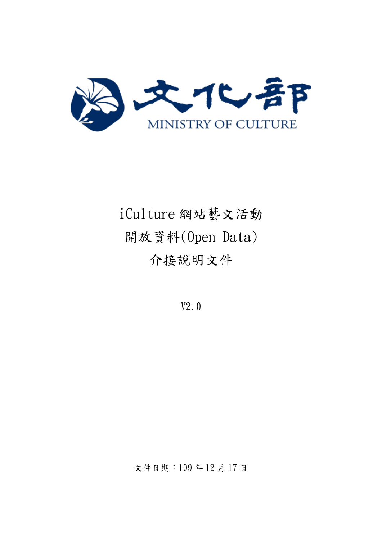

# iCulture 網站藝文活動 開放資料(Open Data) 介接說明文件

V2.0

文件日期:109 年 12 月 17 日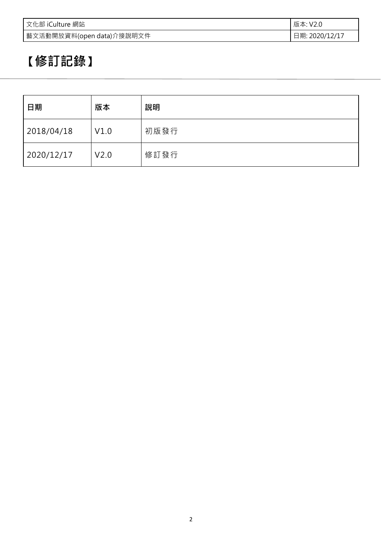| 文化部 iCulture 網站           | 版本: V2.0       |
|---------------------------|----------------|
| 藝文活動開放資料(open data)介接說明文件 | 日期: 2020/12/17 |

## **【修訂記錄】**

| 日期         | 版本   | 說明   |
|------------|------|------|
| 2018/04/18 | V1.0 | 初版發行 |
| 2020/12/17 | V2.0 | 修訂發行 |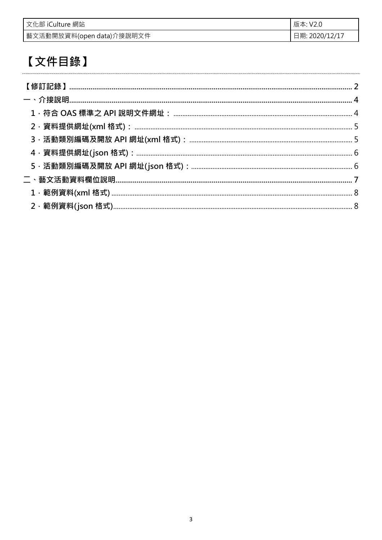| 文化部 iCulture 網站           | 版本: V2.0       |
|---------------------------|----------------|
| 藝文活動開放資料(open data)介接說明文件 | 日期: 2020/12/17 |

### 【文件目錄】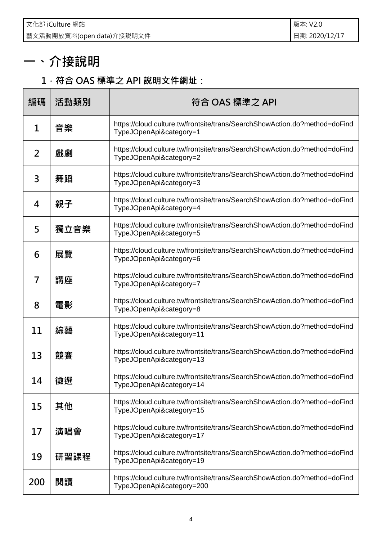| 文化部 iCulture 網站           | 版本: V2.0       |
|---------------------------|----------------|
| 藝文活動開放資料(open data)介接說明文件 | 日期: 2020/12/17 |

### **一、介接說明**

#### **1.符合 OAS 標準之 API 說明文件網址:**

| 編碼  | 活動類別 | 符合 OAS 標準之 API                                                                                          |  |  |
|-----|------|---------------------------------------------------------------------------------------------------------|--|--|
| 1   | 音樂   | https://cloud.culture.tw/frontsite/trans/SearchShowAction.do?method=doFind<br>TypeJOpenApi&category=1   |  |  |
| 2   | 戲劇   | https://cloud.culture.tw/frontsite/trans/SearchShowAction.do?method=doFind<br>TypeJOpenApi&category=2   |  |  |
| 3   | 舞蹈   | https://cloud.culture.tw/frontsite/trans/SearchShowAction.do?method=doFind<br>TypeJOpenApi&category=3   |  |  |
| 4   | 親子   | https://cloud.culture.tw/frontsite/trans/SearchShowAction.do?method=doFind<br>TypeJOpenApi&category=4   |  |  |
| 5   | 獨立音樂 | https://cloud.culture.tw/frontsite/trans/SearchShowAction.do?method=doFind<br>TypeJOpenApi&category=5   |  |  |
| 6   | 展覽   | https://cloud.culture.tw/frontsite/trans/SearchShowAction.do?method=doFind<br>TypeJOpenApi&category=6   |  |  |
| 7   | 講座   | https://cloud.culture.tw/frontsite/trans/SearchShowAction.do?method=doFind<br>TypeJOpenApi&category=7   |  |  |
| 8   | 電影   | https://cloud.culture.tw/frontsite/trans/SearchShowAction.do?method=doFind<br>TypeJOpenApi&category=8   |  |  |
| 11  | 綜藝   | https://cloud.culture.tw/frontsite/trans/SearchShowAction.do?method=doFind<br>TypeJOpenApi&category=11  |  |  |
| 13  | 競賽   | https://cloud.culture.tw/frontsite/trans/SearchShowAction.do?method=doFind<br>TypeJOpenApi&category=13  |  |  |
| 14  | 徵選   | https://cloud.culture.tw/frontsite/trans/SearchShowAction.do?method=doFind<br>TypeJOpenApi&category=14  |  |  |
| 15  | 其他   | https://cloud.culture.tw/frontsite/trans/SearchShowAction.do?method=doFind<br>TypeJOpenApi&category=15  |  |  |
| 17  | 演唱會  | https://cloud.culture.tw/frontsite/trans/SearchShowAction.do?method=doFind<br>TypeJOpenApi&category=17  |  |  |
| 19  | 研習課程 | https://cloud.culture.tw/frontsite/trans/SearchShowAction.do?method=doFind<br>TypeJOpenApi&category=19  |  |  |
| 200 | 閱讀   | https://cloud.culture.tw/frontsite/trans/SearchShowAction.do?method=doFind<br>TypeJOpenApi&category=200 |  |  |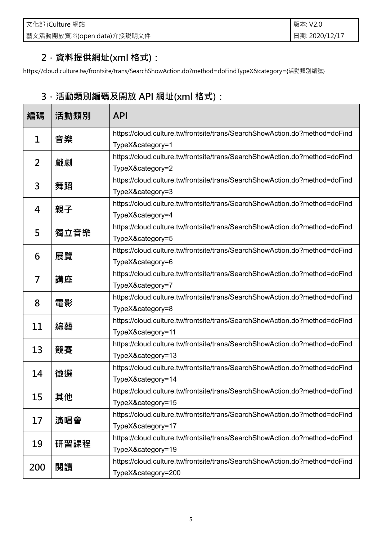| 文化部 iCulture 網站           | 版本: V2.0       |
|---------------------------|----------------|
| 藝文活動開放資料(open data)介接說明文件 | 日期: 2020/12/17 |

#### **2.資料提供網址(xml 格式):**

https://cloud.culture.tw/frontsite/trans/SearchShowAction.do?method=doFindTypeX&category={活動類別編號}

#### **3.活動類別編碼及開放 API 網址(xml 格式):**

| 編碼             | 活動類別             | <b>API</b>                                                                 |  |  |
|----------------|------------------|----------------------------------------------------------------------------|--|--|
| $\mathbf 1$    |                  | https://cloud.culture.tw/frontsite/trans/SearchShowAction.do?method=doFind |  |  |
| 音樂             | TypeX&category=1 |                                                                            |  |  |
| $\overline{2}$ | 戲劇               | https://cloud.culture.tw/frontsite/trans/SearchShowAction.do?method=doFind |  |  |
|                |                  | TypeX&category=2                                                           |  |  |
| 3              | 舞蹈               | https://cloud.culture.tw/frontsite/trans/SearchShowAction.do?method=doFind |  |  |
|                |                  | TypeX&category=3                                                           |  |  |
| 4              | 親子               | https://cloud.culture.tw/frontsite/trans/SearchShowAction.do?method=doFind |  |  |
|                |                  | TypeX&category=4                                                           |  |  |
| 5              | 獨立音樂             | https://cloud.culture.tw/frontsite/trans/SearchShowAction.do?method=doFind |  |  |
|                |                  | TypeX&category=5                                                           |  |  |
| 6              | 展覽               | https://cloud.culture.tw/frontsite/trans/SearchShowAction.do?method=doFind |  |  |
|                |                  | TypeX&category=6                                                           |  |  |
| 7              | 講座               | https://cloud.culture.tw/frontsite/trans/SearchShowAction.do?method=doFind |  |  |
|                |                  | TypeX&category=7                                                           |  |  |
| 8              | 電影               | https://cloud.culture.tw/frontsite/trans/SearchShowAction.do?method=doFind |  |  |
|                |                  | TypeX&category=8                                                           |  |  |
| 11             | 綜藝               | https://cloud.culture.tw/frontsite/trans/SearchShowAction.do?method=doFind |  |  |
|                |                  | TypeX&category=11                                                          |  |  |
| 13             | 競賽               | https://cloud.culture.tw/frontsite/trans/SearchShowAction.do?method=doFind |  |  |
|                |                  | TypeX&category=13                                                          |  |  |
| 14             | 徵選               | https://cloud.culture.tw/frontsite/trans/SearchShowAction.do?method=doFind |  |  |
|                |                  | TypeX&category=14                                                          |  |  |
| 15             | 其他               | https://cloud.culture.tw/frontsite/trans/SearchShowAction.do?method=doFind |  |  |
|                |                  | TypeX&category=15                                                          |  |  |
| 17             | 演唱會              | https://cloud.culture.tw/frontsite/trans/SearchShowAction.do?method=doFind |  |  |
|                |                  | TypeX&category=17                                                          |  |  |
| 19             | 研習課程             | https://cloud.culture.tw/frontsite/trans/SearchShowAction.do?method=doFind |  |  |
|                |                  | TypeX&category=19                                                          |  |  |
| 200            | 閱讀               | https://cloud.culture.tw/frontsite/trans/SearchShowAction.do?method=doFind |  |  |
|                |                  | TypeX&category=200                                                         |  |  |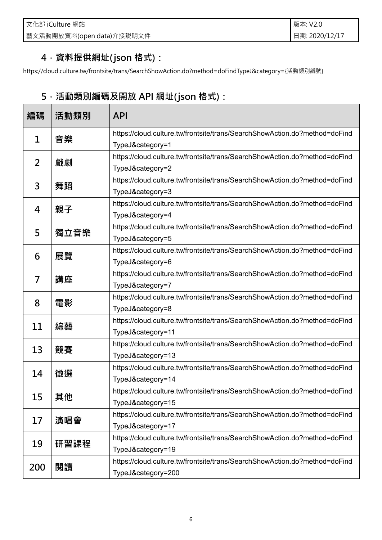| 文化部 iCulture 網站           | 版本: V2.0       |
|---------------------------|----------------|
| 藝文活動開放資料(open data)介接說明文件 | 日期: 2020/12/17 |

#### **4.資料提供網址(json 格式):**

https://cloud.culture.tw/frontsite/trans/SearchShowAction.do?method=doFindTypeJ&category={活動類別編號}

### **5.活動類別編碼及開放 API 網址(json 格式):**

| 編碼                | 活動類別             | <b>API</b>                                                                 |  |  |
|-------------------|------------------|----------------------------------------------------------------------------|--|--|
| 音樂<br>$\mathbf 1$ |                  | https://cloud.culture.tw/frontsite/trans/SearchShowAction.do?method=doFind |  |  |
|                   | TypeJ&category=1 |                                                                            |  |  |
| $\overline{2}$    | 戲劇               | https://cloud.culture.tw/frontsite/trans/SearchShowAction.do?method=doFind |  |  |
|                   |                  | TypeJ&category=2                                                           |  |  |
| 3                 |                  | https://cloud.culture.tw/frontsite/trans/SearchShowAction.do?method=doFind |  |  |
|                   | 舞蹈               | TypeJ&category=3                                                           |  |  |
|                   | 親子               | https://cloud.culture.tw/frontsite/trans/SearchShowAction.do?method=doFind |  |  |
| 4                 |                  | TypeJ&category=4                                                           |  |  |
|                   |                  | https://cloud.culture.tw/frontsite/trans/SearchShowAction.do?method=doFind |  |  |
| 5                 | 獨立音樂             | TypeJ&category=5                                                           |  |  |
|                   |                  | https://cloud.culture.tw/frontsite/trans/SearchShowAction.do?method=doFind |  |  |
| 6                 | 展覽               | TypeJ&category=6                                                           |  |  |
| 7                 |                  | https://cloud.culture.tw/frontsite/trans/SearchShowAction.do?method=doFind |  |  |
|                   | 講座               | TypeJ&category=7                                                           |  |  |
|                   |                  | https://cloud.culture.tw/frontsite/trans/SearchShowAction.do?method=doFind |  |  |
| 8                 | 電影               | TypeJ&category=8                                                           |  |  |
|                   |                  | https://cloud.culture.tw/frontsite/trans/SearchShowAction.do?method=doFind |  |  |
| 11                | 綜藝               | TypeJ&category=11                                                          |  |  |
|                   |                  | https://cloud.culture.tw/frontsite/trans/SearchShowAction.do?method=doFind |  |  |
| 13                | 競賽               | TypeJ&category=13                                                          |  |  |
| 14                | 徵選               | https://cloud.culture.tw/frontsite/trans/SearchShowAction.do?method=doFind |  |  |
|                   |                  | TypeJ&category=14                                                          |  |  |
| 15                | 其他               | https://cloud.culture.tw/frontsite/trans/SearchShowAction.do?method=doFind |  |  |
|                   |                  | TypeJ&category=15                                                          |  |  |
|                   |                  | https://cloud.culture.tw/frontsite/trans/SearchShowAction.do?method=doFind |  |  |
| 17                | 演唱會              | TypeJ&category=17                                                          |  |  |
|                   |                  | https://cloud.culture.tw/frontsite/trans/SearchShowAction.do?method=doFind |  |  |
| 19                | 研習課程             | TypeJ&category=19                                                          |  |  |
|                   |                  | https://cloud.culture.tw/frontsite/trans/SearchShowAction.do?method=doFind |  |  |
| 200               | 閱讀               | TypeJ&category=200                                                         |  |  |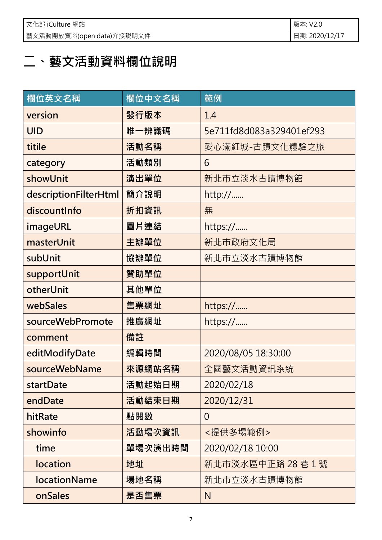| 文化部 iCulture 網站            | 版本: V2.0       |
|----------------------------|----------------|
| │藝文活動開放資料(open data)介接說明文件 | 日期: 2020/12/17 |

### **二、藝文活動資料欄位說明**

| 欄位英文名稱                | 欄位中文名稱  | 範例                       |
|-----------------------|---------|--------------------------|
| version               | 發行版本    | 1.4                      |
| <b>UID</b>            | 唯一辨識碼   | 5e711fd8d083a329401ef293 |
| titile                | 活動名稱    | 愛心滿紅城-古蹟文化體驗之旅           |
| category              | 活動類別    | 6                        |
| showUnit              | 演出單位    | 新北市立淡水古蹟博物館              |
| descriptionFilterHtml | 簡介說明    | http://                  |
| discountInfo          | 折扣資訊    | 無                        |
| imageURL              | 圖片連結    | https://                 |
| masterUnit            | 主辦單位    | 新北市政府文化局                 |
| subUnit               | 協辦單位    | 新北市立淡水古蹟博物館              |
| supportUnit           | 贊助單位    |                          |
| otherUnit             | 其他單位    |                          |
| webSales              | 售票網址    | https://                 |
| sourceWebPromote      | 推廣網址    | https://                 |
| comment               | 備註      |                          |
| editModifyDate        | 編輯時間    | 2020/08/05 18:30:00      |
| sourceWebName         | 來源網站名稱  | 全國藝文活動資訊系統               |
| startDate             | 活動起始日期  | 2020/02/18               |
| endDate               | 活動結束日期  | 2020/12/31               |
| hitRate               | 點閱數     | $\overline{0}$           |
| showinfo              | 活動場次資訊  | <提供多場範例>                 |
| time                  | 單場次演出時間 | 2020/02/18 10:00         |
| location              | 地址      | 新北市淡水區中正路 28巷1號          |
| <b>locationName</b>   | 場地名稱    | 新北市立淡水古蹟博物館              |
| onSales               | 是否售票    | N                        |